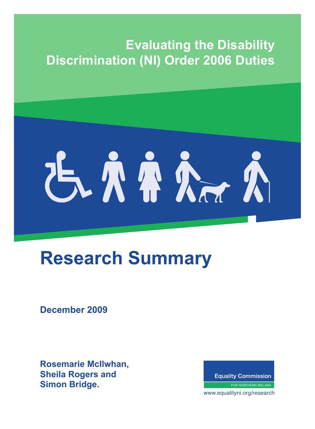# **Evaluating the Disability Discrimination (NI) Order 2006 Duties**

# 古小小心心

# **Research Summary**

**December 2009**

**Rosemarie McIlwhan, Sheila Rogers and Simon Bridge.**

**Equality Commission** 

FOR NORTHERN IRELAND

where  $\frac{1}{2}$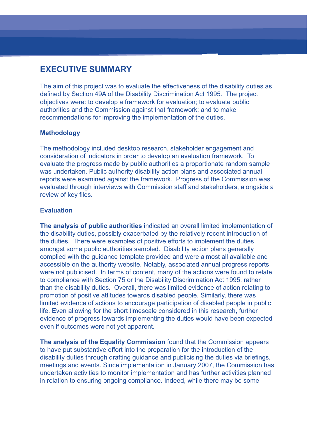# **EXECUTIVE SUMMARY**

The aim of this project was to evaluate the effectiveness of the disability duties as defined by Section 49A of the Disability Discrimination Act 1995. The project objectives were: to develop a framework for evaluation; to evaluate public authorities and the Commission against that framework; and to make recommendations for improving the implementation of the duties.

#### **Methodology**

The methodology included desktop research, stakeholder engagement and consideration of indicators in order to develop an evaluation framework. To evaluate the progress made by public authorities a proportionate random sample was undertaken. Public authority disability action plans and associated annual reports were examined against the framework. Progress of the Commission was evaluated through interviews with Commission staff and stakeholders, alongside a review of key files.

#### **Evaluation**

**The analysis of public authorities** indicated an overall limited implementation of the disability duties, possibly exacerbated by the relatively recent introduction of the duties. There were examples of positive efforts to implement the duties amongst some public authorities sampled. Disability action plans generally complied with the guidance template provided and were almost all available and accessible on the authority website. Notably, associated annual progress reports were not publicised. In terms of content, many of the actions were found to relate to compliance with Section 75 or the Disability Discrimination Act 1995, rather than the disability duties. Overall, there was limited evidence of action relating to promotion of positive attitudes towards disabled people. Similarly, there was limited evidence of actions to encourage participation of disabled people in public life. Even allowing for the short timescale considered in this research, further evidence of progress towards implementing the duties would have been expected even if outcomes were not yet apparent.

**The analysis of the Equality Commission** found that the Commission appears to have put substantive effort into the preparation for the introduction of the disability duties through drafting guidance and publicising the duties via briefings, meetings and events. Since implementation in January 2007, the Commission has undertaken activities to monitor implementation and has further activities planned in relation to ensuring ongoing compliance. Indeed, while there may be some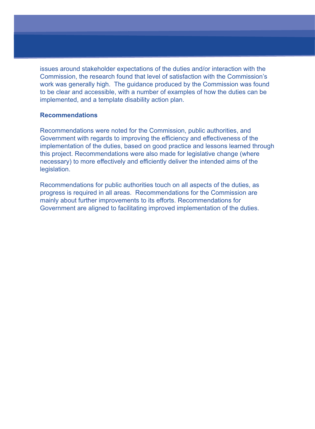issues around stakeholder expectations of the duties and/or interaction with the Commission, the research found that level of satisfaction with the Commission's work was generally high. The guidance produced by the Commission was found to be clear and accessible, with a number of examples of how the duties can be implemented, and a template disability action plan.

#### **Recommendations**

Recommendations were noted for the Commission, public authorities, and Government with regards to improving the efficiency and effectiveness of the implementation of the duties, based on good practice and lessons learned through this project. Recommendations were also made for legislative change (where necessary) to more effectively and efficiently deliver the intended aims of the legislation.

Recommendations for public authorities touch on all aspects of the duties, as progress is required in all areas. Recommendations for the Commission are mainly about further improvements to its efforts. Recommendations for Government are aligned to facilitating improved implementation of the duties.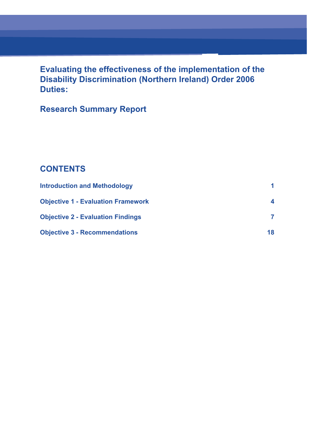**Evaluating the effectiveness of the implementation of the Disability Discrimination (Northern Ireland) Order 2006 Duties:**

# **Research Summary Report**

# **CONTENTS**

| <b>Introduction and Methodology</b>       |                  |
|-------------------------------------------|------------------|
| <b>Objective 1 - Evaluation Framework</b> | $\boldsymbol{4}$ |
| <b>Objective 2 - Evaluation Findings</b>  |                  |
| <b>Objective 3 - Recommendations</b>      | 18               |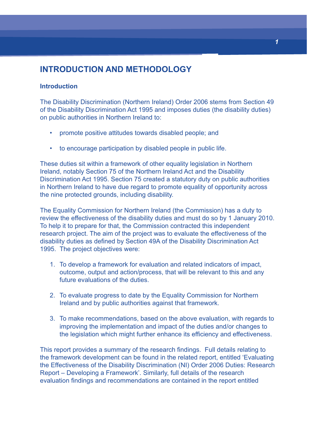# **INTRODUCTION AND METHODOLOGY**

#### **Introduction**

The Disability Discrimination (Northern Ireland) Order 2006 stems from Section 49 of the Disability Discrimination Act 1995 and imposes duties (the disability duties) on public authorities in Northern Ireland to:

- promote positive attitudes towards disabled people; and
- to encourage participation by disabled people in public life.

These duties sit within a framework of other equality legislation in Northern Ireland, notably Section 75 of the Northern Ireland Act and the Disability Discrimination Act 1995. Section 75 created a statutory duty on public authorities in Northern Ireland to have due regard to promote equality of opportunity across the nine protected grounds, including disability.

The Equality Commission for Northern Ireland (the Commission) has a duty to review the effectiveness of the disability duties and must do so by 1 January 2010. To help it to prepare for that, the Commission contracted this independent research project. The aim of the project was to evaluate the effectiveness of the disability duties as defined by Section 49A of the Disability Discrimination Act 1995. The project objectives were:

- 1. To develop a framework for evaluation and related indicators of impact, outcome, output and action/process, that will be relevant to this and any future evaluations of the duties.
- 2. To evaluate progress to date by the Equality Commission for Northern Ireland and by public authorities against that framework.
- 3. To make recommendations, based on the above evaluation, with regards to improving the implementation and impact of the duties and/or changes to the legislation which might further enhance its efficiency and effectiveness.

This report provides a summary of the research findings. Full details relating to the framework development can be found in the related report, entitled 'Evaluating the Effectiveness of the Disability Discrimination (NI) Order 2006 Duties: Research Report – Developing a Framework'. Similarly, full details of the research evaluation findings and recommendations are contained in the report entitled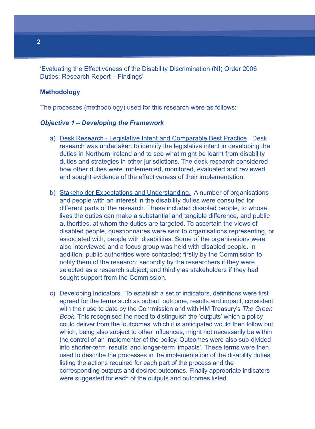'Evaluating the Effectiveness of the Disability Discrimination (NI) Order 2006 Duties: Research Report – Findings'

#### **Methodology**

The processes (methodology) used for this research were as follows:

#### **Objective 1 – Developing the Framework**

- a) Desk Research Legislative Intent and Comparable Best Practice. Desk research was undertaken to identify the legislative intent in developing the duties in Northern Ireland and to see what might be learnt from disability duties and strategies in other jurisdictions. The desk research considered how other duties were implemented, monitored, evaluated and reviewed and sought evidence of the effectiveness of their implementation.
- b) Stakeholder Expectations and Understanding. A number of organisations and people with an interest in the disability duties were consulted for different parts of the research. These included disabled people, to whose lives the duties can make a substantial and tangible difference, and public authorities, at whom the duties are targeted. To ascertain the views of disabled people, questionnaires were sent to organisations representing, or associated with, people with disabilities. Some of the organisations were also interviewed and a focus group was held with disabled people. In addition, public authorities were contacted: firstly by the Commission to notify them of the research; secondly by the researchers if they were selected as a research subject; and thirdly as stakeholders if they had sought support from the Commission.
- c) Developing Indicators. To establish a set of indicators, definitions were first agreed for the terms such as output, outcome, results and impact, consistent with their use to date by the Commission and with HM Treasury's The Green Book. This recognised the need to distinguish the 'outputs' which a policy could deliver from the 'outcomes' which it is anticipated would then follow but which, being also subject to other influences, might not necessarily be within the control of an implementer of the policy. Outcomes were also sub-divided into shorter-term 'results' and longer-term 'impacts'. These terms were then used to describe the processes in the implementation of the disability duties, listing the actions required for each part of the process and the corresponding outputs and desired outcomes. Finally appropriate indicators were suggested for each of the outputs and outcomes listed.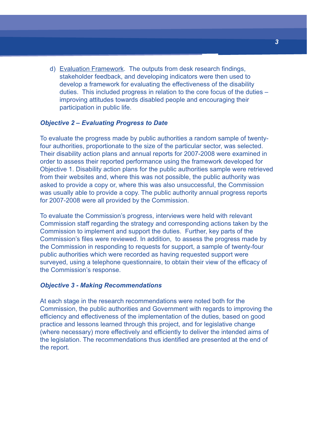d) Evaluation Framework. The outputs from desk research findings, stakeholder feedback, and developing indicators were then used to develop a framework for evaluating the effectiveness of the disability duties. This included progress in relation to the core focus of the duties – improving attitudes towards disabled people and encouraging their participation in public life.

#### **Objective 2 – Evaluating Progress to Date**

To evaluate the progress made by public authorities a random sample of twentyfour authorities, proportionate to the size of the particular sector, was selected. Their disability action plans and annual reports for 2007-2008 were examined in order to assess their reported performance using the framework developed for Objective 1. Disability action plans for the public authorities sample were retrieved from their websites and, where this was not possible, the public authority was asked to provide a copy or, where this was also unsuccessful, the Commission was usually able to provide a copy. The public authority annual progress reports for 2007-2008 were all provided by the Commission.

To evaluate the Commission's progress, interviews were held with relevant Commission staff regarding the strategy and corresponding actions taken by the Commission to implement and support the duties. Further, key parts of the Commission's files were reviewed. In addition, to assess the progress made by the Commission in responding to requests for support, a sample of twenty-four public authorities which were recorded as having requested support were surveyed, using a telephone questionnaire, to obtain their view of the efficacy of the Commission's response.

#### **Objective 3 - Making Recommendations**

At each stage in the research recommendations were noted both for the Commission, the public authorities and Government with regards to improving the efficiency and effectiveness of the implementation of the duties, based on good practice and lessons learned through this project, and for legislative change (where necessary) more effectively and efficiently to deliver the intended aims of the legislation. The recommendations thus identified are presented at the end of the report.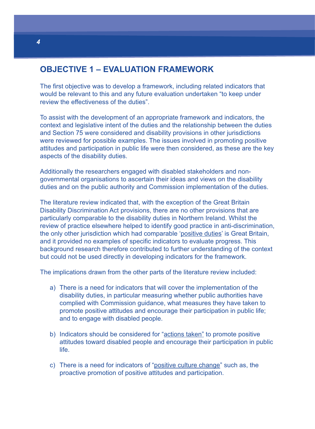# **OBJECTIVE 1 – EVALUATION FRAMEWORK**

The first objective was to develop a framework, including related indicators that would be relevant to this and any future evaluation undertaken "to keep under review the effectiveness of the duties".

To assist with the development of an appropriate framework and indicators, the context and legislative intent of the duties and the relationship between the duties and Section 75 were considered and disability provisions in other jurisdictions were reviewed for possible examples. The issues involved in promoting positive attitudes and participation in public life were then considered, as these are the key aspects of the disability duties.

Additionally the researchers engaged with disabled stakeholders and nongovernmental organisations to ascertain their ideas and views on the disability duties and on the public authority and Commission implementation of the duties.

The literature review indicated that, with the exception of the Great Britain Disability Discrimination Act provisions, there are no other provisions that are particularly comparable to the disability duties in Northern Ireland. Whilst the review of practice elsewhere helped to identify good practice in anti-discrimination, the only other jurisdiction which had comparable 'positive duties' is Great Britain, and it provided no examples of specific indicators to evaluate progress. This background research therefore contributed to further understanding of the context but could not be used directly in developing indicators for the framework.

The implications drawn from the other parts of the literature review included:

- a) There is a need for indicators that will cover the implementation of the disability duties, in particular measuring whether public authorities have complied with Commission guidance, what measures they have taken to promote positive attitudes and encourage their participation in public life; and to engage with disabled people.
- b) Indicators should be considered for "actions taken" to promote positive attitudes toward disabled people and encourage their participation in public life.
- c) There is a need for indicators of "positive culture change" such as, the proactive promotion of positive attitudes and participation.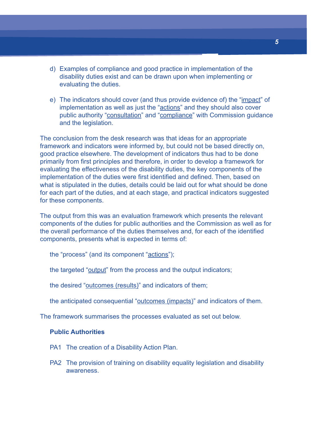- d) Examples of compliance and good practice in implementation of the disability duties exist and can be drawn upon when implementing or evaluating the duties.
- e) The indicators should cover (and thus provide evidence of) the "impact" of implementation as well as just the "actions" and they should also cover public authority "consultation" and "compliance" with Commission guidance and the legislation.

The conclusion from the desk research was that ideas for an appropriate framework and indicators were informed by, but could not be based directly on, good practice elsewhere. The development of indicators thus had to be done primarily from first principles and therefore, in order to develop a framework for evaluating the effectiveness of the disability duties, the key components of the implementation of the duties were first identified and defined. Then, based on what is stipulated in the duties, details could be laid out for what should be done for each part of the duties, and at each stage, and practical indicators suggested for these components.

The output from this was an evaluation framework which presents the relevant components of the duties for public authorities and the Commission as well as for the overall performance of the duties themselves and, for each of the identified components, presents what is expected in terms of:

the "process" (and its component "actions");

the targeted "output" from the process and the output indicators;

the desired "outcomes (results)" and indicators of them;

the anticipated consequential "outcomes (impacts)" and indicators of them.

The framework summarises the processes evaluated as set out below.

#### **Public Authorities**

- PA1 The creation of a Disability Action Plan.
- PA2 The provision of training on disability equality legislation and disability awareness.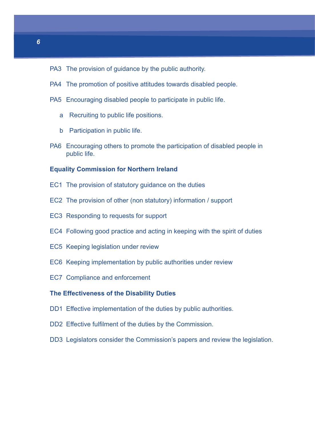- PA3 The provision of guidance by the public authority.
- PA4 The promotion of positive attitudes towards disabled people.
- PA5 Encouraging disabled people to participate in public life.
	- a Recruiting to public life positions.
	- b Participation in public life.
- PA6 Encouraging others to promote the participation of disabled people in public life.

#### **Equality Commission for Northern Ireland**

- EC1 The provision of statutory guidance on the duties
- EC2 The provision of other (non statutory) information / support
- EC3 Responding to requests for support
- EC4 Following good practice and acting in keeping with the spirit of duties
- EC5 Keeping legislation under review
- EC6 Keeping implementation by public authorities under review
- EC7 Compliance and enforcement

#### **The Effectiveness of the Disability Duties**

- DD1 Effective implementation of the duties by public authorities.
- DD2 Effective fulfilment of the duties by the Commission.
- DD3 Legislators consider the Commission's papers and review the legislation.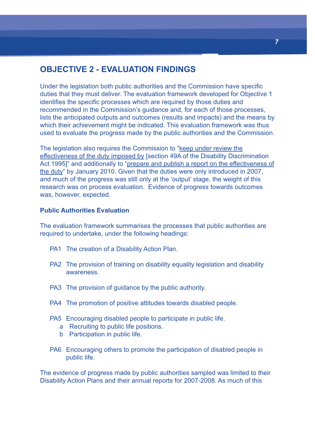# **OBJECTIVE 2 - EVALUATION FINDINGS**

Under the legislation both public authorities and the Commission have specific duties that they must deliver. The evaluation framework developed for Objective 1 identifies the specific processes which are required by those duties and recommended in the Commission's guidance and, for each of those processes, lists the anticipated outputs and outcomes (results and impacts) and the means by which their achievement might be indicated. This evaluation framework was thus used to evaluate the progress made by the public authorities and the Commission.

The legislation also requires the Commission to "keep under review the effectiveness of the duty imposed by [section 49A of the Disability Discrimination Act 1995]" and additionally to "prepare and publish a report on the effectiveness of the duty" by January 2010. Given that the duties were only introduced in 2007, and much of the progress was still only at the 'output' stage, the weight of this research was on process evaluation. Evidence of progress towards outcomes was, however, expected.

#### **Public Authorities Evaluation**

The evaluation framework summarises the processes that public authorities are required to undertake, under the following headings:

- PA1 The creation of a Disability Action Plan.
- PA2 The provision of training on disability equality legislation and disability awareness.
- PA3 The provision of guidance by the public authority.
- PA4 The promotion of positive attitudes towards disabled people.
- PA5 Encouraging disabled people to participate in public life.
	- a Recruiting to public life positions.
	- b Participation in public life.
- PA6 Encouraging others to promote the participation of disabled people in public life.

The evidence of progress made by public authorities sampled was limited to their Disability Action Plans and their annual reports for 2007-2008. As much of this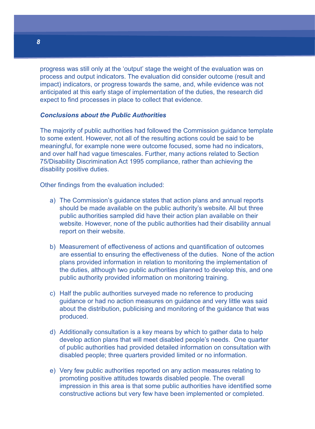progress was still only at the 'output' stage the weight of the evaluation was on process and output indicators. The evaluation did consider outcome (result and impact) indicators, or progress towards the same, and, while evidence was not anticipated at this early stage of implementation of the duties, the research did expect to find processes in place to collect that evidence.

#### **Conclusions about the Public Authorities**

The majority of public authorities had followed the Commission guidance template to some extent. However, not all of the resulting actions could be said to be meaningful, for example none were outcome focused, some had no indicators, and over half had vague timescales. Further, many actions related to Section 75/Disability Discrimination Act 1995 compliance, rather than achieving the disability positive duties.

Other findings from the evaluation included:

- a) The Commission's guidance states that action plans and annual reports should be made available on the public authority's website. All but three public authorities sampled did have their action plan available on their website. However, none of the public authorities had their disability annual report on their website.
- b) Measurement of effectiveness of actions and quantification of outcomes are essential to ensuring the effectiveness of the duties. None of the action plans provided information in relation to monitoring the implementation of the duties, although two public authorities planned to develop this, and one public authority provided information on monitoring training.
- c) Half the public authorities surveyed made no reference to producing guidance or had no action measures on guidance and very little was said about the distribution, publicising and monitoring of the guidance that was produced.
- d) Additionally consultation is a key means by which to gather data to help develop action plans that will meet disabled people's needs. One quarter of public authorities had provided detailed information on consultation with disabled people; three quarters provided limited or no information.
- e) Very few public authorities reported on any action measures relating to promoting positive attitudes towards disabled people. The overall impression in this area is that some public authorities have identified some constructive actions but very few have been implemented or completed.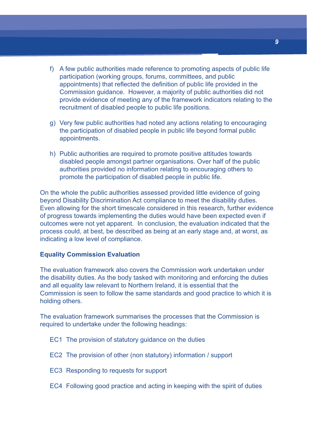- f) A few public authorities made reference to promoting aspects of public life participation (working groups, forums, committees, and public appointments) that reflected the definition of public life provided in the Commission guidance. However, a majority of public authorities did not provide evidence of meeting any of the framework indicators relating to the recruitment of disabled people to public life positions.
- g) Very few public authorities had noted any actions relating to encouraging the participation of disabled people in public life beyond formal public appointments.
- h) Public authorities are required to promote positive attitudes towards disabled people amongst partner organisations. Over half of the public authorities provided no information relating to encouraging others to promote the participation of disabled people in public life.

On the whole the public authorities assessed provided little evidence of going beyond Disability Discrimination Act compliance to meet the disability duties. Even allowing for the short timescale considered in this research, further evidence of progress towards implementing the duties would have been expected even if outcomes were not yet apparent. In conclusion, the evaluation indicated that the process could, at best, be described as being at an early stage and, at worst, as indicating a low level of compliance.

#### **Equality Commission Evaluation**

The evaluation framework also covers the Commission work undertaken under the disability duties. As the body tasked with monitoring and enforcing the duties and all equality law relevant to Northern Ireland, it is essential that the Commission is seen to follow the same standards and good practice to which it is holding others.

The evaluation framework summarises the processes that the Commission is required to undertake under the following headings:

- EC1 The provision of statutory guidance on the duties
- EC2 The provision of other (non statutory) information / support
- EC3 Responding to requests for support
- EC4 Following good practice and acting in keeping with the spirit of duties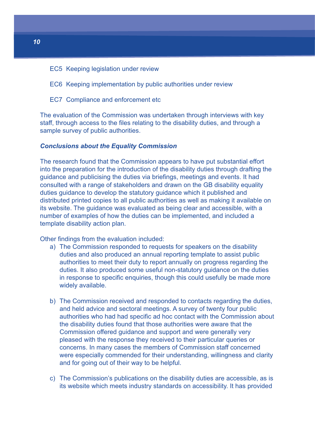- EC5 Keeping legislation under review
- EC6 Keeping implementation by public authorities under review
- EC7 Compliance and enforcement etc

The evaluation of the Commission was undertaken through interviews with key staff, through access to the files relating to the disability duties, and through a sample survey of public authorities.

#### **Conclusions about the Equality Commission**

The research found that the Commission appears to have put substantial effort into the preparation for the introduction of the disability duties through drafting the guidance and publicising the duties via briefings, meetings and events. It had consulted with a range of stakeholders and drawn on the GB disability equality duties guidance to develop the statutory guidance which it published and distributed printed copies to all public authorities as well as making it available on its website. The guidance was evaluated as being clear and accessible, with a number of examples of how the duties can be implemented, and included a template disability action plan.

Other findings from the evaluation included:

- a) The Commission responded to requests for speakers on the disability duties and also produced an annual reporting template to assist public authorities to meet their duty to report annually on progress regarding the duties. It also produced some useful non-statutory guidance on the duties in response to specific enquiries, though this could usefully be made more widely available.
- b) The Commission received and responded to contacts regarding the duties, and held advice and sectoral meetings. A survey of twenty four public authorities who had had specific ad hoc contact with the Commission about the disability duties found that those authorities were aware that the Commission offered guidance and support and were generally very pleased with the response they received to their particular queries or concerns. In many cases the members of Commission staff concerned were especially commended for their understanding, willingness and clarity and for going out of their way to be helpful.
- c) The Commission's publications on the disability duties are accessible, as is its website which meets industry standards on accessibility. It has provided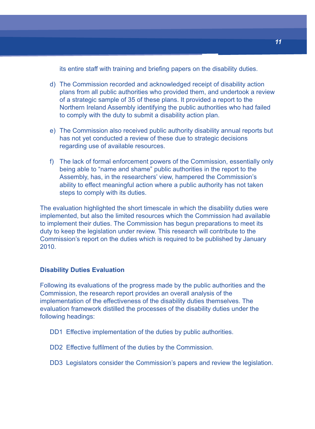its entire staff with training and briefing papers on the disability duties.

- d) The Commission recorded and acknowledged receipt of disability action plans from all public authorities who provided them, and undertook a review of a strategic sample of 35 of these plans. It provided a report to the Northern Ireland Assembly identifying the public authorities who had failed to comply with the duty to submit a disability action plan.
- e) The Commission also received public authority disability annual reports but has not yet conducted a review of these due to strategic decisions regarding use of available resources.
- f) The lack of formal enforcement powers of the Commission, essentially only being able to "name and shame" public authorities in the report to the Assembly, has, in the researchers' view, hampered the Commission's ability to effect meaningful action where a public authority has not taken steps to comply with its duties.

The evaluation highlighted the short timescale in which the disability duties were implemented, but also the limited resources which the Commission had available to implement their duties. The Commission has begun preparations to meet its duty to keep the legislation under review. This research will contribute to the Commission's report on the duties which is required to be published by January 2010.

#### **Disability Duties Evaluation**

Following its evaluations of the progress made by the public authorities and the Commission, the research report provides an overall analysis of the implementation of the effectiveness of the disability duties themselves. The evaluation framework distilled the processes of the disability duties under the following headings:

- DD1 Effective implementation of the duties by public authorities.
- DD2 Effective fulfilment of the duties by the Commission.
- DD3 Legislators consider the Commission's papers and review the legislation.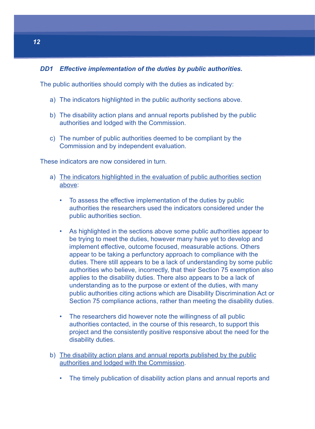#### **DD1 Effective implementation of the duties by public authorities.**

The public authorities should comply with the duties as indicated by:

- a) The indicators highlighted in the public authority sections above.
- b) The disability action plans and annual reports published by the public authorities and lodged with the Commission.
- c) The number of public authorities deemed to be compliant by the Commission and by independent evaluation.

These indicators are now considered in turn.

- a) The indicators highlighted in the evaluation of public authorities section above:
	- To assess the effective implementation of the duties by public authorities the researchers used the indicators considered under the public authorities section.
	- As highlighted in the sections above some public authorities appear to be trying to meet the duties, however many have yet to develop and implement effective, outcome focused, measurable actions. Others appear to be taking a perfunctory approach to compliance with the duties. There still appears to be a lack of understanding by some public authorities who believe, incorrectly, that their Section 75 exemption also applies to the disability duties. There also appears to be a lack of understanding as to the purpose or extent of the duties, with many public authorities citing actions which are Disability Discrimination Act or Section 75 compliance actions, rather than meeting the disability duties.
	- The researchers did however note the willingness of all public authorities contacted, in the course of this research, to support this project and the consistently positive responsive about the need for the disability duties.
- b) The disability action plans and annual reports published by the public authorities and lodged with the Commission.
	- The timely publication of disability action plans and annual reports and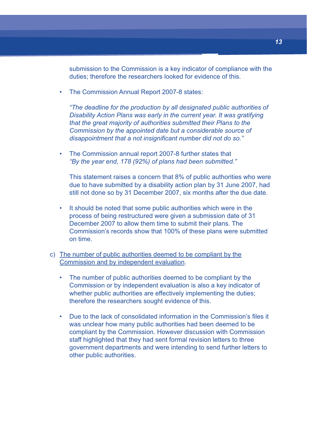submission to the Commission is a key indicator of compliance with the duties; therefore the researchers looked for evidence of this.

• The Commission Annual Report 2007-8 states:

"The deadline for the production by all designated public authorities of Disability Action Plans was early in the current year. It was gratifying that the great majority of authorities submitted their Plans to the Commission by the appointed date but a considerable source of disappointment that a not insignificant number did not do so."

• The Commission annual report 2007-8 further states that "By the year end, 178 (92%) of plans had been submitted."

This statement raises a concern that 8% of public authorities who were due to have submitted by a disability action plan by 31 June 2007, had still not done so by 31 December 2007, six months after the due date.

- It should be noted that some public authorities which were in the process of being restructured were given a submission date of 31 December 2007 to allow them time to submit their plans. The Commission's records show that 100% of these plans were submitted on time.
- c) The number of public authorities deemed to be compliant by the Commission and by independent evaluation.
	- The number of public authorities deemed to be compliant by the Commission or by independent evaluation is also a key indicator of whether public authorities are effectively implementing the duties; therefore the researchers sought evidence of this.
	- Due to the lack of consolidated information in the Commission's files it was unclear how many public authorities had been deemed to be compliant by the Commission. However discussion with Commission staff highlighted that they had sent formal revision letters to three government departments and were intending to send further letters to other public authorities.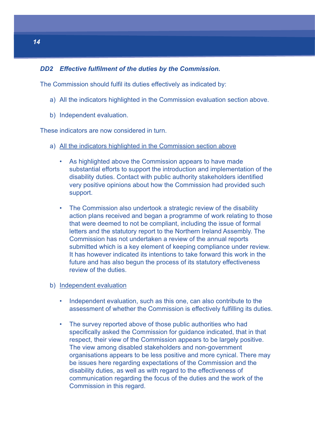#### **DD2 Effective fulfilment of the duties by the Commission.**

The Commission should fulfil its duties effectively as indicated by:

- a) All the indicators highlighted in the Commission evaluation section above.
- b) Independent evaluation.

These indicators are now considered in turn.

- a) All the indicators highlighted in the Commission section above
	- As highlighted above the Commission appears to have made substantial efforts to support the introduction and implementation of the disability duties. Contact with public authority stakeholders identified very positive opinions about how the Commission had provided such support.
	- The Commission also undertook a strategic review of the disability action plans received and began a programme of work relating to those that were deemed to not be compliant, including the issue of formal letters and the statutory report to the Northern Ireland Assembly. The Commission has not undertaken a review of the annual reports submitted which is a key element of keeping compliance under review. It has however indicated its intentions to take forward this work in the future and has also begun the process of its statutory effectiveness review of the duties.

#### b) Independent evaluation

- Independent evaluation, such as this one, can also contribute to the assessment of whether the Commission is effectively fulfilling its duties.
- The survey reported above of those public authorities who had specifically asked the Commission for guidance indicated, that in that respect, their view of the Commission appears to be largely positive. The view among disabled stakeholders and non-government organisations appears to be less positive and more cynical. There may be issues here regarding expectations of the Commission and the disability duties, as well as with regard to the effectiveness of communication regarding the focus of the duties and the work of the Commission in this regard.

**1414**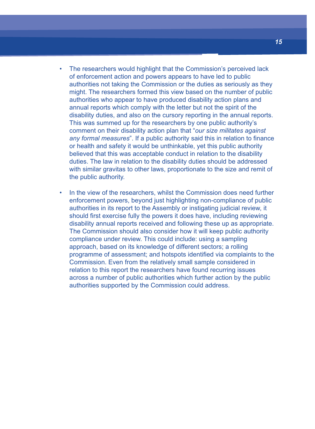- The researchers would highlight that the Commission's perceived lack of enforcement action and powers appears to have led to public authorities not taking the Commission or the duties as seriously as they might. The researchers formed this view based on the number of public authorities who appear to have produced disability action plans and annual reports which comply with the letter but not the spirit of the disability duties, and also on the cursory reporting in the annual reports. This was summed up for the researchers by one public authority's comment on their disability action plan that "our size militates against any formal measures". If a public authority said this in relation to finance or health and safety it would be unthinkable, yet this public authority believed that this was acceptable conduct in relation to the disability duties. The law in relation to the disability duties should be addressed with similar gravitas to other laws, proportionate to the size and remit of the public authority.
- In the view of the researchers, whilst the Commission does need further enforcement powers, beyond just highlighting non-compliance of public authorities in its report to the Assembly or instigating judicial review, it should first exercise fully the powers it does have, including reviewing disability annual reports received and following these up as appropriate. The Commission should also consider how it will keep public authority compliance under review. This could include: using a sampling approach, based on its knowledge of different sectors; a rolling programme of assessment; and hotspots identified via complaints to the Commission. Even from the relatively small sample considered in relation to this report the researchers have found recurring issues across a number of public authorities which further action by the public authorities supported by the Commission could address.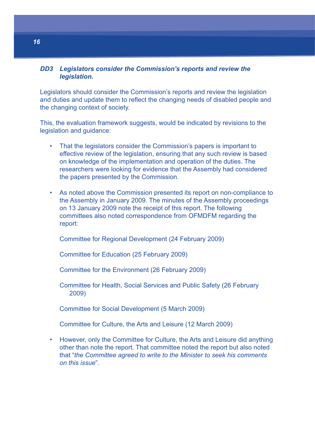#### **DD3 Legislators consider the Commission's reports and review the legislation.**

Legislators should consider the Commission's reports and review the legislation and duties and update them to reflect the changing needs of disabled people and the changing context of society.

This, the evaluation framework suggests, would be indicated by revisions to the legislation and guidance:

- That the legislators consider the Commission's papers is important to effective review of the legislation, ensuring that any such review is based on knowledge of the implementation and operation of the duties. The researchers were looking for evidence that the Assembly had considered the papers presented by the Commission.
- As noted above the Commission presented its report on non-compliance to the Assembly in January 2009. The minutes of the Assembly proceedings on 13 January 2009 note the receipt of this report. The following committees also noted correspondence from OFMDFM regarding the report:

Committee for Regional Development (24 February 2009)

Committee for Education (25 February 2009)

Committee for the Environment (26 February 2009)

Committee for Health, Social Services and Public Safety (26 February 2009)

Committee for Social Development (5 March 2009)

Committee for Culture, the Arts and Leisure (12 March 2009)

• However, only the Committee for Culture, the Arts and Leisure did anything other than note the report. That committee noted the report but also noted that "the Committee agreed to write to the Minister to seek his comments on this issue".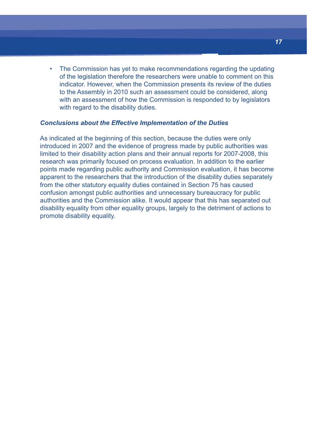• The Commission has yet to make recommendations regarding the updating of the legislation therefore the researchers were unable to comment on this indicator. However, when the Commission presents its review of the duties to the Assembly in 2010 such an assessment could be considered, along with an assessment of how the Commission is responded to by legislators with regard to the disability duties.

#### **Conclusions about the Effective Implementation of the Duties**

As indicated at the beginning of this section, because the duties were only introduced in 2007 and the evidence of progress made by public authorities was limited to their disability action plans and their annual reports for 2007-2008, this research was primarily focused on process evaluation. In addition to the earlier points made regarding public authority and Commission evaluation, it has become apparent to the researchers that the introduction of the disability duties separately from the other statutory equality duties contained in Section 75 has caused confusion amongst public authorities and unnecessary bureaucracy for public authorities and the Commission alike. It would appear that this has separated out disability equality from other equality groups, largely to the detriment of actions to promote disability equality.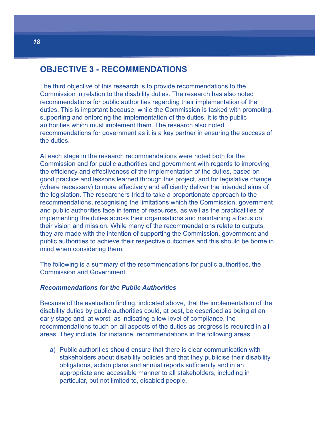### **OBJECTIVE 3 - RECOMMENDATIONS**

The third objective of this research is to provide recommendations to the Commission in relation to the disability duties. The research has also noted recommendations for public authorities regarding their implementation of the duties. This is important because, while the Commission is tasked with promoting, supporting and enforcing the implementation of the duties, it is the public authorities which must implement them. The research also noted recommendations for government as it is a key partner in ensuring the success of the duties.

At each stage in the research recommendations were noted both for the Commission and for public authorities and government with regards to improving the efficiency and effectiveness of the implementation of the duties, based on good practice and lessons learned through this project, and for legislative change (where necessary) to more effectively and efficiently deliver the intended aims of the legislation. The researchers tried to take a proportionate approach to the recommendations, recognising the limitations which the Commission, government and public authorities face in terms of resources, as well as the practicalities of implementing the duties across their organisations and maintaining a focus on their vision and mission. While many of the recommendations relate to outputs, they are made with the intention of supporting the Commission, government and public authorities to achieve their respective outcomes and this should be borne in mind when considering them.

The following is a summary of the recommendations for public authorities, the Commission and Government.

#### **Recommendations for the Public Authorities**

Because of the evaluation finding, indicated above, that the implementation of the disability duties by public authorities could, at best, be described as being at an early stage and, at worst, as indicating a low level of compliance, the recommendations touch on all aspects of the duties as progress is required in all areas. They include, for instance, recommendations in the following areas:

a) Public authorities should ensure that there is clear communication with stakeholders about disability policies and that they publicise their disability obligations, action plans and annual reports sufficiently and in an appropriate and accessible manner to all stakeholders, including in particular, but not limited to, disabled people.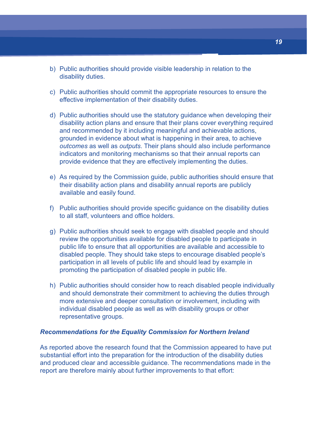- b) Public authorities should provide visible leadership in relation to the disability duties.
- c) Public authorities should commit the appropriate resources to ensure the effective implementation of their disability duties.
- d) Public authorities should use the statutory guidance when developing their disability action plans and ensure that their plans cover everything required and recommended by it including meaningful and achievable actions, grounded in evidence about what is happening in their area, to achieve outcomes as well as outputs. Their plans should also include performance indicators and monitoring mechanisms so that their annual reports can provide evidence that they are effectively implementing the duties.
- e) As required by the Commission guide, public authorities should ensure that their disability action plans and disability annual reports are publicly available and easily found.
- f) Public authorities should provide specific guidance on the disability duties to all staff, volunteers and office holders.
- g) Public authorities should seek to engage with disabled people and should review the opportunities available for disabled people to participate in public life to ensure that all opportunities are available and accessible to disabled people. They should take steps to encourage disabled people's participation in all levels of public life and should lead by example in promoting the participation of disabled people in public life.
- h) Public authorities should consider how to reach disabled people individually and should demonstrate their commitment to achieving the duties through more extensive and deeper consultation or involvement, including with individual disabled people as well as with disability groups or other representative groups.

#### **Recommendations for the Equality Commission for Northern Ireland**

As reported above the research found that the Commission appeared to have put substantial effort into the preparation for the introduction of the disability duties and produced clear and accessible guidance. The recommendations made in the report are therefore mainly about further improvements to that effort: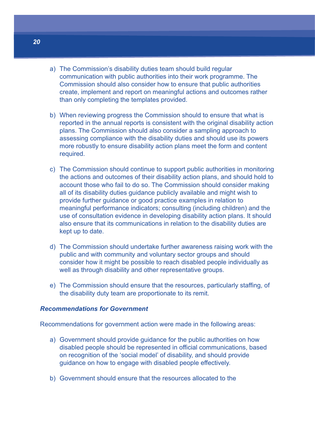- a) The Commission's disability duties team should build regular communication with public authorities into their work programme. The Commission should also consider how to ensure that public authorities create, implement and report on meaningful actions and outcomes rather than only completing the templates provided.
- b) When reviewing progress the Commission should to ensure that what is reported in the annual reports is consistent with the original disability action plans. The Commission should also consider a sampling approach to assessing compliance with the disability duties and should use its powers more robustly to ensure disability action plans meet the form and content required.
- c) The Commission should continue to support public authorities in monitoring the actions and outcomes of their disability action plans, and should hold to account those who fail to do so. The Commission should consider making all of its disability duties guidance publicly available and might wish to provide further guidance or good practice examples in relation to meaningful performance indicators; consulting (including children) and the use of consultation evidence in developing disability action plans. It should also ensure that its communications in relation to the disability duties are kept up to date.
- d) The Commission should undertake further awareness raising work with the public and with community and voluntary sector groups and should consider how it might be possible to reach disabled people individually as well as through disability and other representative groups.
- e) The Commission should ensure that the resources, particularly staffing, of the disability duty team are proportionate to its remit.

#### **Recommendations for Government**

Recommendations for government action were made in the following areas:

- a) Government should provide guidance for the public authorities on how disabled people should be represented in official communications, based on recognition of the 'social model' of disability, and should provide guidance on how to engage with disabled people effectively.
- b) Government should ensure that the resources allocated to the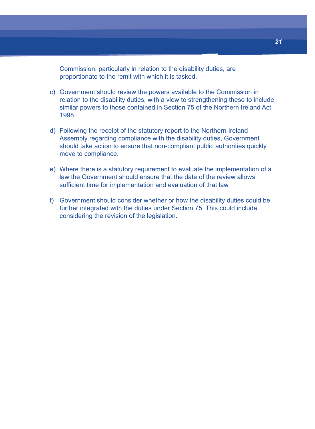Commission, particularly in relation to the disability duties, are proportionate to the remit with which it is tasked.

- c) Government should review the powers available to the Commission in relation to the disability duties, with a view to strengthening these to include similar powers to those contained in Section 75 of the Northern Ireland Act 1998.
- d) Following the receipt of the statutory report to the Northern Ireland Assembly regarding compliance with the disability duties, Government should take action to ensure that non-compliant public authorities quickly move to compliance.
- e) Where there is a statutory requirement to evaluate the implementation of a law the Government should ensure that the date of the review allows sufficient time for implementation and evaluation of that law.
- f) Government should consider whether or how the disability duties could be further integrated with the duties under Section 75. This could include considering the revision of the legislation.